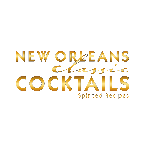## R EANS NE  $\vee$  $\frac{1}{2}$ CK S **Spirited Recipes**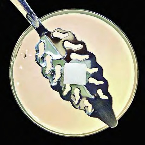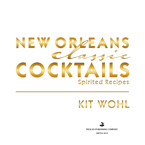## EANS NE RY W K S **Spirited Recipes**

## KIT WOF ı.

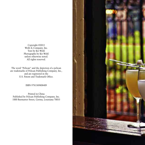Copyright ©2012 Wohl & Company, Inc. Text by Kit Wohl Photographs by Kit Wohl unless otherwise noted. All rights reserved.

The word "Pelican" and the depiction of a pelican are trademarks of Pelican Publishing Company, Inc., and are registered in the U.S. Patent and Trademark Office.

ISBN 9781589808409

Printed in China Published by Pelican Publishing Company, Inc. 1000 Burmaster Street, Gretna, Louisiana 70053

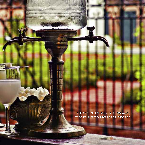a toast to tom collins *and* a toast to tom collins those wily newspaper people those wily newspaper people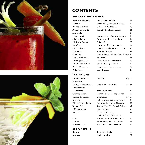



## **CONTENTS**

#### **BIG EASY SPECIALTIES**

| Absinthe Francaise | Pirate's Alley Café            | 13 |
|--------------------|--------------------------------|----|
| Sazerac            | Sazerac Bar, Roosevelt Hotel   | 14 |
| Ramos Gin Fizz     | Old Absinthe House             | 15 |
| Brandy Crusta &    | French 75, Chris Hannah        | 16 |
| Deauville          |                                | 17 |
| Vieux Carré        | Carousel Bar, The Monteleone   | 18 |
| à la Louisiane     | Restaurant de la Louisiane     | 19 |
| Absinthe Frappé    | Tujague's                      | 20 |
| Varadero           | Iris, Bienville House Hotel    | 21 |
| Old Hickory        | Bayou Bar, The Pontchartrain   | 22 |
| Roffignac          | Jeremiah Tower                 | 23 |
| Streetcar          | Dickie Brennan's Bourbon House | 24 |
| Broussard's Smile  | Broussard's                    | 25 |
| Union Jack Rose    | Cure, Neal Bodenheimer         | 26 |
| Charbonneau Way    | Sobou, Abragail Gullo          | 27 |
| White Manhattan    | Loa, International House       | 28 |
| Wild Rose          | Sally Ekman                    | 29 |

#### **TRADITIONS**

| Amaretto Sour &     |
|---------------------|
| Pisco Sour          |
| Brandy Alexander &  |
| Grasshopper         |
| Manhattan           |
| Cosmopolitan        |
| Gibson & Gimlet     |
| Martini             |
| Dirty Cajun Martini |
| <b>Rusty Nail</b>   |
| Old Fashioned       |
| Sidecar             |
|                     |

| Gibson & Gimlet     | Galatoire's                   | 38, 39 |
|---------------------|-------------------------------|--------|
| Martini             | Polo Lounge, Windsor Court    | 40     |
| Dirty Cajun Martini | Remoulade, Archie Casbarian   | 41     |
| Rusty Nail          | Touché Bar, The Royal Orleans | 42     |
| Old Fashioned       | Bar Tonique                   | 43     |
| Sidecar             | Davenport Lounge,             | 44     |
|                     | The Ritz-Carlton Hotel        |        |
| Stinger             | Bombay Club, Prince Conti     | 45     |
| Zombie              | F&M Patio, Trevor Palmer      | 46     |
| Witch's Brew        | d.b.a., Leah Rae Scantlen     | 47     |

Marti's 32, 33

Restaurant Jonathan 34, 35

Tom Fitzmorris 36 French 75 Bar, Bobby Oakes 37

#### **EYE OPENERS**

| Bellini |
|---------|
| Mimosa  |

| Bellini | The Taste Buds | 50 |
|---------|----------------|----|
| Mimosa  | Lorin Gaudin   |    |